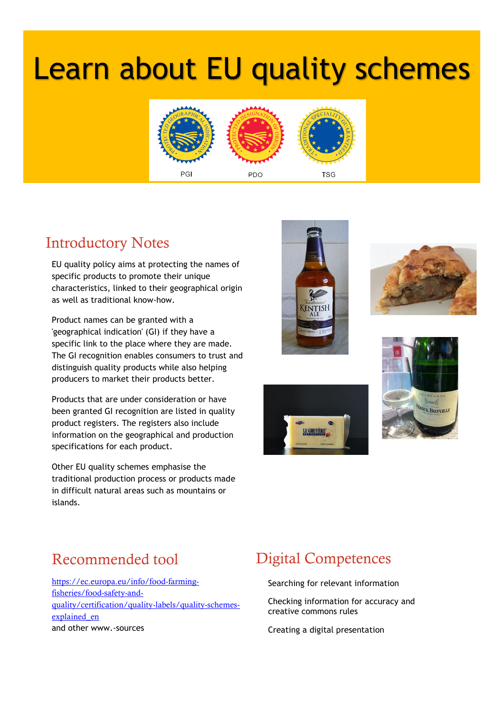# Learn about EU quality schemes



## Introductory Notes

EU quality policy aims at protecting the names of specific products to promote their unique characteristics, linked to their geographical origin as well as traditional know-how.

Product names can be granted with a 'geographical indication' (GI) if they have a specific link to the place where they are made. The GI recognition enables consumers to trust and distinguish quality products while also helping producers to market their products better.

Products that are under consideration or have been granted GI recognition are listed in quality product registers. The registers also include information on the geographical and production specifications for each product.

Other EU quality schemes emphasise the traditional production process or products made in difficult natural areas such as mountains or islands.









#### Recommended tool

[https://ec.europa.eu/info/food-farming](https://ec.europa.eu/info/food-farming-fisheries/food-safety-and-quality/certification/quality-labels/quality-schemes-explained_en)[fisheries/food-safety-and](https://ec.europa.eu/info/food-farming-fisheries/food-safety-and-quality/certification/quality-labels/quality-schemes-explained_en)[quality/certification/quality-labels/quality-schemes](https://ec.europa.eu/info/food-farming-fisheries/food-safety-and-quality/certification/quality-labels/quality-schemes-explained_en)[explained\\_en](https://ec.europa.eu/info/food-farming-fisheries/food-safety-and-quality/certification/quality-labels/quality-schemes-explained_en) and other www.-sources

#### Digital Competences

Searching for relevant information

Checking information for accuracy and creative commons rules

Creating a digital presentation